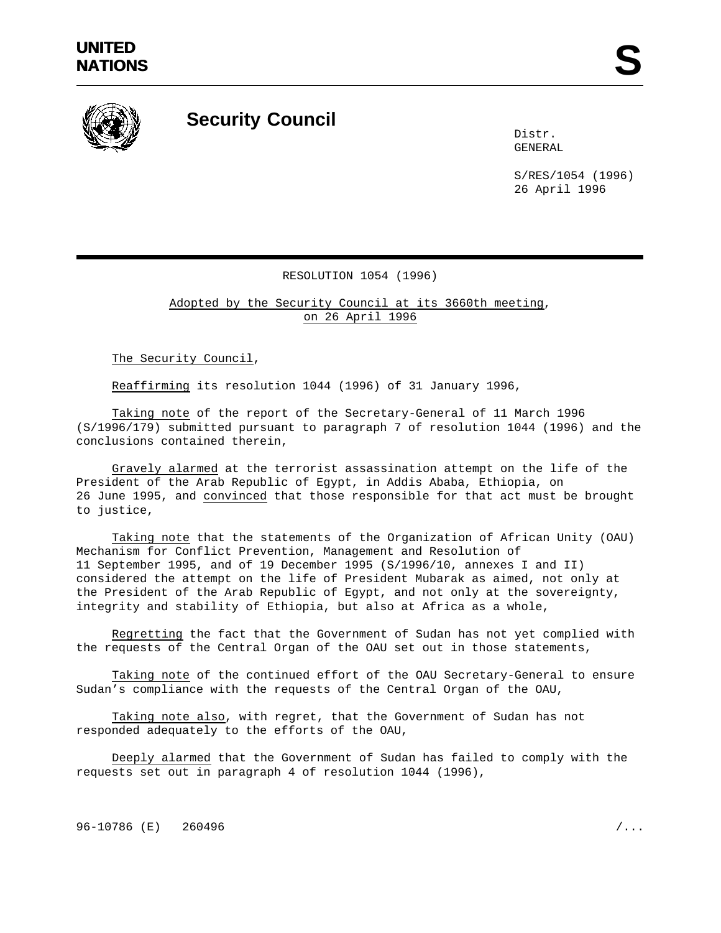

## **Security Council**

Distr. GENERAL

S/RES/1054 (1996) 26 April 1996

## RESOLUTION 1054 (1996)

Adopted by the Security Council at its 3660th meeting, on 26 April 1996

The Security Council,

Reaffirming its resolution 1044 (1996) of 31 January 1996,

Taking note of the report of the Secretary-General of 11 March 1996 (S/1996/179) submitted pursuant to paragraph 7 of resolution 1044 (1996) and the conclusions contained therein,

Gravely alarmed at the terrorist assassination attempt on the life of the President of the Arab Republic of Egypt, in Addis Ababa, Ethiopia, on 26 June 1995, and convinced that those responsible for that act must be brought to justice,

Taking note that the statements of the Organization of African Unity (OAU) Mechanism for Conflict Prevention, Management and Resolution of 11 September 1995, and of 19 December 1995 (S/1996/10, annexes I and II) considered the attempt on the life of President Mubarak as aimed, not only at the President of the Arab Republic of Egypt, and not only at the sovereignty, integrity and stability of Ethiopia, but also at Africa as a whole,

Regretting the fact that the Government of Sudan has not yet complied with the requests of the Central Organ of the OAU set out in those statements,

Taking note of the continued effort of the OAU Secretary-General to ensure Sudan's compliance with the requests of the Central Organ of the OAU,

Taking note also, with regret, that the Government of Sudan has not responded adequately to the efforts of the OAU,

Deeply alarmed that the Government of Sudan has failed to comply with the requests set out in paragraph 4 of resolution 1044 (1996),

96-10786 (E) 260496 /...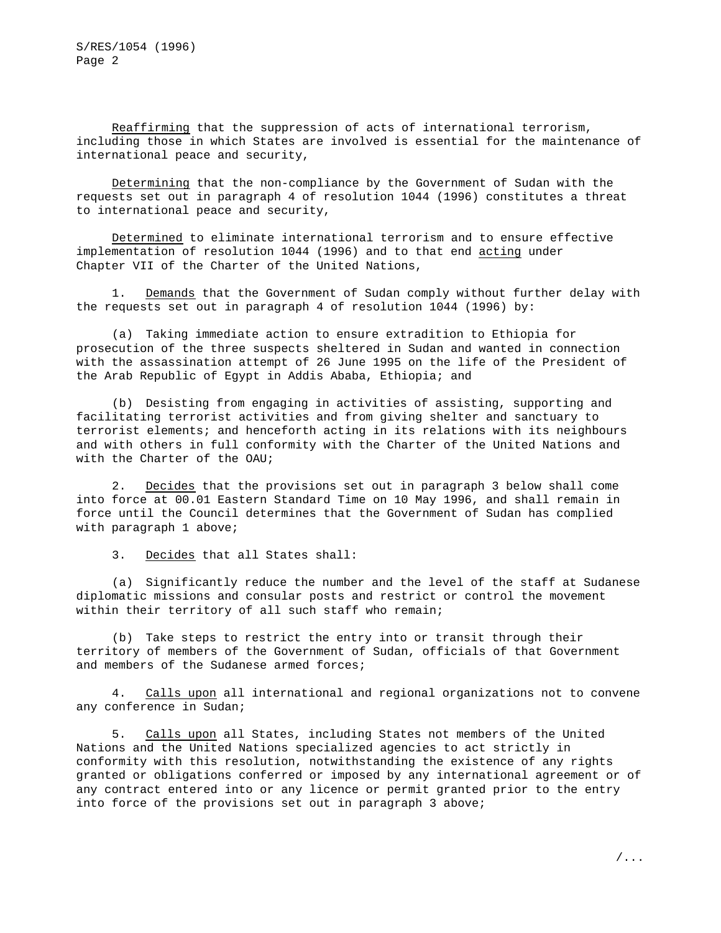Reaffirming that the suppression of acts of international terrorism, including those in which States are involved is essential for the maintenance of international peace and security,

Determining that the non-compliance by the Government of Sudan with the requests set out in paragraph 4 of resolution 1044 (1996) constitutes a threat to international peace and security,

Determined to eliminate international terrorism and to ensure effective implementation of resolution 1044 (1996) and to that end acting under Chapter VII of the Charter of the United Nations,

1. Demands that the Government of Sudan comply without further delay with the requests set out in paragraph 4 of resolution 1044 (1996) by:

(a) Taking immediate action to ensure extradition to Ethiopia for prosecution of the three suspects sheltered in Sudan and wanted in connection with the assassination attempt of 26 June 1995 on the life of the President of the Arab Republic of Egypt in Addis Ababa, Ethiopia; and

(b) Desisting from engaging in activities of assisting, supporting and facilitating terrorist activities and from giving shelter and sanctuary to terrorist elements; and henceforth acting in its relations with its neighbours and with others in full conformity with the Charter of the United Nations and with the Charter of the OAU;

2. Decides that the provisions set out in paragraph 3 below shall come into force at 00.01 Eastern Standard Time on 10 May 1996, and shall remain in force until the Council determines that the Government of Sudan has complied with paragraph 1 above;

3. Decides that all States shall:

(a) Significantly reduce the number and the level of the staff at Sudanese diplomatic missions and consular posts and restrict or control the movement within their territory of all such staff who remain;

(b) Take steps to restrict the entry into or transit through their territory of members of the Government of Sudan, officials of that Government and members of the Sudanese armed forces;

4. Calls upon all international and regional organizations not to convene any conference in Sudan;

5. Calls upon all States, including States not members of the United Nations and the United Nations specialized agencies to act strictly in conformity with this resolution, notwithstanding the existence of any rights granted or obligations conferred or imposed by any international agreement or of any contract entered into or any licence or permit granted prior to the entry into force of the provisions set out in paragraph 3 above;